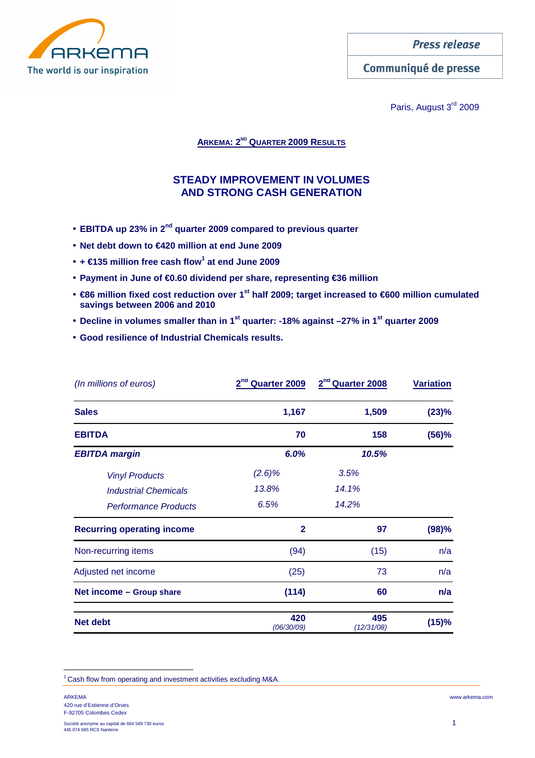

Communiqué de presse

Paris, August 3<sup>rd</sup> 2009

**ARKEMA: 2ND QUARTER 2009 RESULTS**

# **STEADY IMPROVEMENT IN VOLUMES AND STRONG CASH GENERATION**

- **EBITDA up 23% in 2nd quarter 2009 compared to previous quarter**
- **Net debt down to €420 million at end June 2009**
- **+ €135 million free cash flow<sup>1</sup> at end June 2009**
- **Payment in June of €0.60 dividend per share, representing €36 million**
- **€86 million fixed cost reduction over 1st half 2009; target increased to €600 million cumulated savings between 2006 and 2010**
- **Decline in volumes smaller than in 1st quarter: -18% against –27% in 1st quarter 2009**
- **Good resilience of Industrial Chemicals results.**

| (In millions of euros)            | 2 <sup>nd</sup><br>Quarter 2009 | 2 <sup>nd</sup> Quarter 2008 | <b>Variation</b> |  |
|-----------------------------------|---------------------------------|------------------------------|------------------|--|
| <b>Sales</b>                      | 1,167                           | 1,509                        | (23)%            |  |
| <b>EBITDA</b>                     | 70                              | 158                          | (56)%            |  |
| <b>EBITDA</b> margin              | 6.0%                            | 10.5%                        |                  |  |
| <b>Vinyl Products</b>             | (2.6)%                          | 3.5%                         |                  |  |
| <b>Industrial Chemicals</b>       | 13.8%                           | 14.1%                        |                  |  |
| <b>Performance Products</b>       | 6.5%                            | 14.2%                        |                  |  |
| <b>Recurring operating income</b> | $\mathbf{2}$                    | 97                           | (98)%            |  |
| Non-recurring items               | (94)                            | (15)                         | n/a              |  |
| Adjusted net income               | (25)                            | 73                           | n/a              |  |
| Net income - Group share          | (114)                           | 60                           | n/a              |  |
| <b>Net debt</b>                   | 420<br>(06/30/09)               | 495<br>(12/31/08)            | (15)%            |  |

<sup>1</sup>Cash flow from operating and investment activities excluding M&A.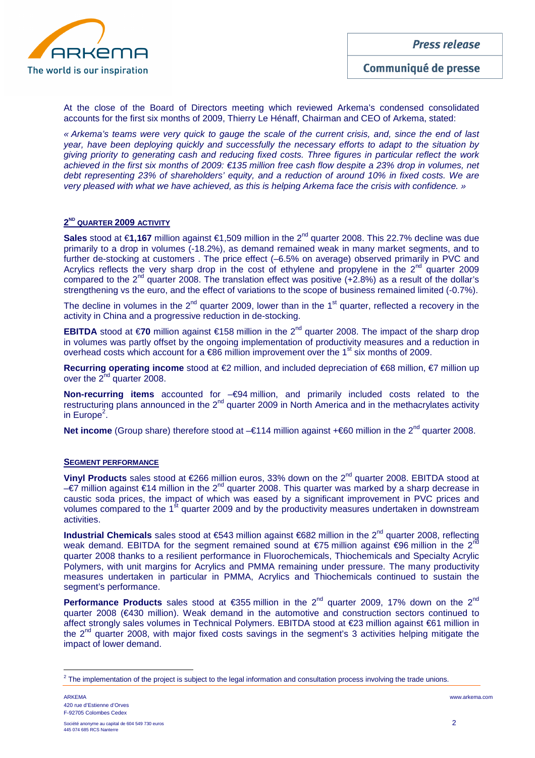

At the close of the Board of Directors meeting which reviewed Arkema's condensed consolidated accounts for the first six months of 2009, Thierry Le Hénaff, Chairman and CEO of Arkema, stated:

« Arkema's teams were very quick to gauge the scale of the current crisis, and, since the end of last year, have been deploying quickly and successfully the necessary efforts to adapt to the situation by giving priority to generating cash and reducing fixed costs. Three figures in particular reflect the work achieved in the first six months of 2009: €135 million free cash flow despite a 23% drop in volumes, net debt representing 23% of shareholders' equity, and a reduction of around 10% in fixed costs. We are very pleased with what we have achieved, as this is helping Arkema face the crisis with confidence. »

# **2 ND QUARTER 2009 ACTIVITY**

**Sales** stood at €1,167 million against €1,509 million in the 2<sup>nd</sup> quarter 2008. This 22.7% decline was due primarily to a drop in volumes (-18.2%), as demand remained weak in many market segments, and to further de-stocking at customers . The price effect (–6.5% on average) observed primarily in PVC and Acrylics reflects the very sharp drop in the cost of ethylene and propylene in the  $2^{nd}$  quarter 2009 compared to the  $2^{nd}$  quarter 2008. The translation effect was positive (+2.8%) as a result of the dollar's strengthening vs the euro, and the effect of variations to the scope of business remained limited (-0.7%).

The decline in volumes in the  $2^{nd}$  quarter 2009, lower than in the 1<sup>st</sup> quarter, reflected a recovery in the activity in China and a progressive reduction in de-stocking.

**EBITDA** stood at €70 million against €158 million in the 2<sup>nd</sup> quarter 2008. The impact of the sharp drop in volumes was partly offset by the ongoing implementation of productivity measures and a reduction in overhead costs which account for a  $\epsilon$ 86 million improvement over the 1<sup>st</sup> six months of 2009.

**Recurring operating income** stood at €2 million, and included depreciation of €68 million, €7 million up over the  $2^{nd}$  quarter 2008.

**Non-recurring items** accounted for –€94 million, and primarily included costs related to the restructuring plans announced in the 2<sup>nd</sup> quarter 2009 in North America and in the methacrylates activity in Europe<sup>2</sup>.

**Net income** (Group share) therefore stood at –€114 million against +€60 million in the 2<sup>nd</sup> quarter 2008.

#### **SEGMENT PERFORMANCE**

**Vinyl Products** sales stood at €266 million euros, 33% down on the 2nd quarter 2008. EBITDA stood at –€7 million against €14 million in the 2nd quarter 2008. This quarter was marked by a sharp decrease in caustic soda prices, the impact of which was eased by a significant improvement in PVC prices and volumes compared to the 1<sup>st</sup> quarter 2009 and by the productivity measures undertaken in downstream activities.

**Industrial Chemicals** sales stood at €543 million against €682 million in the 2<sup>nd</sup> quarter 2008, reflecting weak demand. EBITDA for the segment remained sound at  $\epsilon$ 75 million against  $\epsilon$ 96 million in the 2<sup>n</sup> quarter 2008 thanks to a resilient performance in Fluorochemicals, Thiochemicals and Specialty Acrylic Polymers, with unit margins for Acrylics and PMMA remaining under pressure. The many productivity measures undertaken in particular in PMMA, Acrylics and Thiochemicals continued to sustain the segment's performance.

**Performance Products** sales stood at €355 million in the 2<sup>nd</sup> quarter 2009, 17% down on the 2<sup>nd</sup> quarter 2008 (€430 million). Weak demand in the automotive and construction sectors continued to affect strongly sales volumes in Technical Polymers. EBITDA stood at €23 million against €61 million in the 2<sup>nd</sup> quarter 2008, with major fixed costs savings in the segment's 3 activities helping mitigate the impact of lower demand.

 $2$  The implementation of the project is subject to the legal information and consultation process involving the trade unions.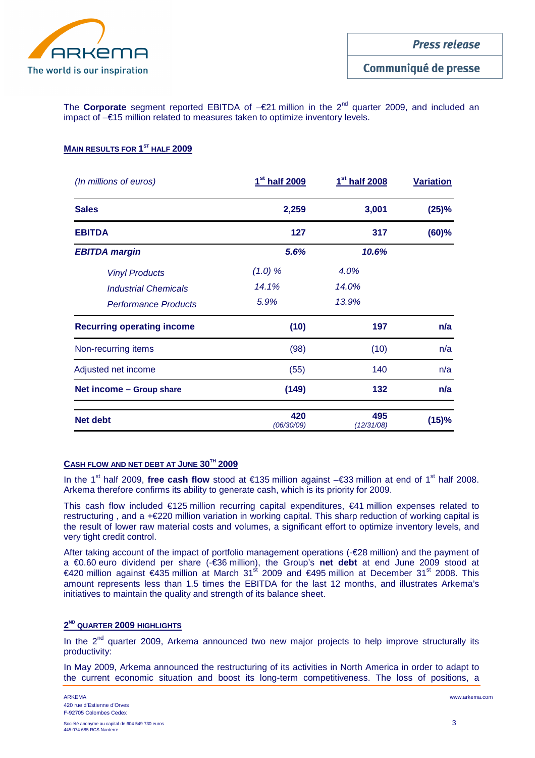

The **Corporate** segment reported EBITDA of –€21 million in the 2<sup>nd</sup> quarter 2009, and included an impact of –€15 million related to measures taken to optimize inventory levels.

# **MAIN RESULTS FOR 1 ST HALF 2009**

| (In millions of euros)            | 1 <sup>st</sup> half 2009 | 1 <sup>st</sup> half 2008 | <b>Variation</b><br>(25)% |  |
|-----------------------------------|---------------------------|---------------------------|---------------------------|--|
| <b>Sales</b>                      | 2,259                     | 3,001                     |                           |  |
| <b>EBITDA</b>                     | 127                       | 317                       | $(60)$ %                  |  |
| <b>EBITDA margin</b>              | 5.6%                      | 10.6%                     |                           |  |
| <b>Vinyl Products</b>             | (1.0) %                   | 4.0%                      |                           |  |
| <b>Industrial Chemicals</b>       | 14.1%                     | 14.0%                     |                           |  |
| <b>Performance Products</b>       | 5.9%                      | 13.9%                     |                           |  |
| <b>Recurring operating income</b> | (10)                      | 197                       | n/a                       |  |
| Non-recurring items               | (98)                      | (10)                      | n/a                       |  |
| Adjusted net income               | (55)                      | 140                       | n/a                       |  |
| Net income - Group share          | (149)                     | 132                       | n/a                       |  |
| <b>Net debt</b>                   | 420<br>(06/30/09)         | 495<br>(12/31/08)         | (15)%                     |  |

# **CASH FLOW AND NET DEBT AT JUNE 30TH 2009**

In the 1st half 2009, **free cash flow** stood at €135 million against –€33 million at end of 1st half 2008. Arkema therefore confirms its ability to generate cash, which is its priority for 2009.

This cash flow included €125 million recurring capital expenditures, €41 million expenses related to restructuring , and a +€220 million variation in working capital. This sharp reduction of working capital is the result of lower raw material costs and volumes, a significant effort to optimize inventory levels, and very tight credit control.

After taking account of the impact of portfolio management operations (-€28 million) and the payment of a €0.60 euro dividend per share (-€36 million), the Group's **net debt** at end June 2009 stood at  $€420$  million against  $€435$  million at March 3<sup>ft 2009</sup> and  $€495$  million at December 31<sup>st</sup> 2008. This amount represents less than 1.5 times the EBITDA for the last 12 months, and illustrates Arkema's initiatives to maintain the quality and strength of its balance sheet.

# **2 ND QUARTER 2009 HIGHLIGHTS**

In the  $2^{nd}$  quarter 2009, Arkema announced two new major projects to help improve structurally its productivity:

In May 2009, Arkema announced the restructuring of its activities in North America in order to adapt to the current economic situation and boost its long-term competitiveness. The loss of positions, a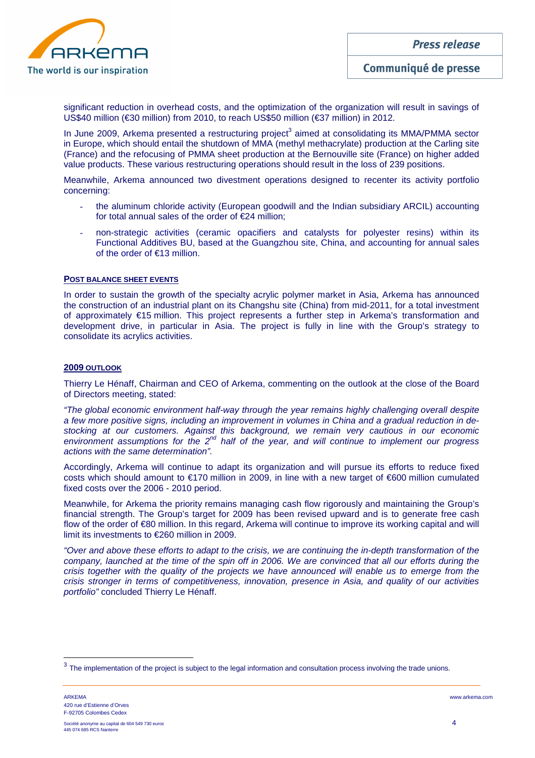

significant reduction in overhead costs, and the optimization of the organization will result in savings of US\$40 million (€30 million) from 2010, to reach US\$50 million (€37 million) in 2012.

In June 2009, Arkema presented a restructuring project<sup>3</sup> aimed at consolidating its MMA/PMMA sector in Europe, which should entail the shutdown of MMA (methyl methacrylate) production at the Carling site (France) and the refocusing of PMMA sheet production at the Bernouville site (France) on higher added value products. These various restructuring operations should result in the loss of 239 positions.

Meanwhile, Arkema announced two divestment operations designed to recenter its activity portfolio concerning:

- the aluminum chloride activity (European goodwill and the Indian subsidiary ARCIL) accounting for total annual sales of the order of €24 million;
- non-strategic activities (ceramic opacifiers and catalysts for polyester resins) within its Functional Additives BU, based at the Guangzhou site, China, and accounting for annual sales of the order of €13 million.

#### **POST BALANCE SHEET EVENTS**

In order to sustain the growth of the specialty acrylic polymer market in Asia, Arkema has announced the construction of an industrial plant on its Changshu site (China) from mid-2011, for a total investment of approximately €15 million. This project represents a further step in Arkema's transformation and development drive, in particular in Asia. The project is fully in line with the Group's strategy to consolidate its acrylics activities.

#### **2009 OUTLOOK**

Thierry Le Hénaff, Chairman and CEO of Arkema, commenting on the outlook at the close of the Board of Directors meeting, stated:

"The global economic environment half-way through the year remains highly challenging overall despite a few more positive signs, including an improvement in volumes in China and a gradual reduction in destocking at our customers. Against this background, we remain very cautious in our economic environment assumptions for the  $2^{nd}$  half of the year, and will continue to implement our progress actions with the same determination".

Accordingly, Arkema will continue to adapt its organization and will pursue its efforts to reduce fixed costs which should amount to €170 million in 2009, in line with a new target of €600 million cumulated fixed costs over the 2006 - 2010 period.

Meanwhile, for Arkema the priority remains managing cash flow rigorously and maintaining the Group's financial strength. The Group's target for 2009 has been revised upward and is to generate free cash flow of the order of €80 million. In this regard, Arkema will continue to improve its working capital and will limit its investments to €260 million in 2009.

"Over and above these efforts to adapt to the crisis, we are continuing the in-depth transformation of the company, launched at the time of the spin off in 2006. We are convinced that all our efforts during the crisis together with the quality of the projects we have announced will enable us to emerge from the crisis stronger in terms of competitiveness, innovation, presence in Asia, and quality of our activities portfolio" concluded Thierry Le Hénaff.

 $3$  The implementation of the project is subject to the legal information and consultation process involving the trade unions.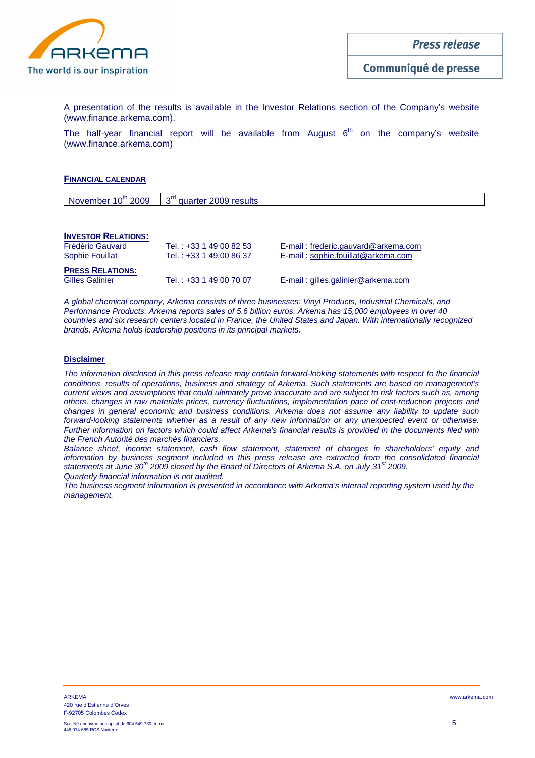

A presentation of the results is available in the Investor Relations section of the Company's website (www.finance.arkema.com).

The half-year financial report will be available from August  $6<sup>th</sup>$  on the company's website (www.finance.arkema.com)

#### **FINANCIAL CALENDAR**

| November $10^{th}$ 2009 $\frac{1}{3}$ d'auarter 2009 results |
|--------------------------------------------------------------|
|                                                              |

#### **INVESTOR RELATIONS:**

| Frédéric Gauvard        | Tel.: +33 1 49 00 82 53 | E-mail: frederic.gauvard@arkema.com |
|-------------------------|-------------------------|-------------------------------------|
| Sophie Fouillat         | Tel.: +33 1 49 00 86 37 | E-mail: sophie.fouillat@arkema.com  |
| <b>PRESS RELATIONS:</b> |                         |                                     |
| <b>Gilles Galinier</b>  | Tel.: +33 1 49 00 70 07 | E-mail: gilles.galinier@arkema.com  |

A global chemical company, Arkema consists of three businesses: Vinyl Products, Industrial Chemicals, and Performance Products. Arkema reports sales of 5.6 billion euros. Arkema has 15,000 employees in over 40 countries and six research centers located in France, the United States and Japan. With internationally recognized brands, Arkema holds leadership positions in its principal markets.

#### **Disclaimer**

The information disclosed in this press release may contain forward-looking statements with respect to the financial conditions, results of operations, business and strategy of Arkema. Such statements are based on management's current views and assumptions that could ultimately prove inaccurate and are subject to risk factors such as, among others, changes in raw materials prices, currency fluctuations, implementation pace of cost-reduction projects and changes in general economic and business conditions. Arkema does not assume any liability to update such forward-looking statements whether as a result of any new information or any unexpected event or otherwise. Further information on factors which could affect Arkema's financial results is provided in the documents filed with the French Autorité des marchés financiers.

Balance sheet, income statement, cash flow statement, statement of changes in shareholders' equity and information by business segment included in this press release are extracted from the consolidated financial statements at June  $30^{th}$  2009 closed by the Board of Directors of Arkema S.A. on July  $31^{st}$  2009. Quarterly financial information is not audited.

The business segment information is presented in accordance with Arkema's internal reporting system used by the management.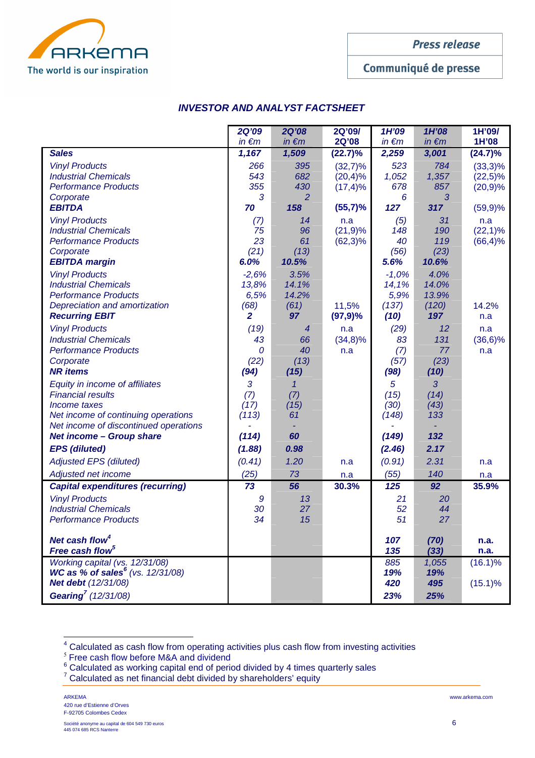

Communiqué de presse

# **INVESTOR AND ANALYST FACTSHEET**

|                                                                                                                                                                                               | <b>2Q'09</b><br>$in \in m$                         | <b>2Q'08</b><br>$in \in m$              | 2Q'09/<br>2Q'08                         | 1H'09<br>$in \in m$                       | 1H'08<br>$in \in m$                    | 1H'09/<br>1H'08                         |
|-----------------------------------------------------------------------------------------------------------------------------------------------------------------------------------------------|----------------------------------------------------|-----------------------------------------|-----------------------------------------|-------------------------------------------|----------------------------------------|-----------------------------------------|
| <b>Sales</b>                                                                                                                                                                                  | 1,167                                              | 1,509                                   | (22.7)%                                 | 2,259                                     | 3,001                                  | (24.7)%                                 |
| <b>Vinyl Products</b><br><b>Industrial Chemicals</b><br><b>Performance Products</b><br>Corporate                                                                                              | 266<br>543<br>355<br>3                             | 395<br>682<br>430<br>2                  | $(32,7)\%$<br>$(20,4)\%$<br>$(17, 4)$ % | 523<br>1,052<br>678<br>6                  | 784<br>1,357<br>857<br>3               | $(33,3)\%$<br>$(22,5)\%$<br>$(20, 9)$ % |
| <b>EBITDA</b>                                                                                                                                                                                 | 70                                                 | 158                                     | $(55,7)$ %                              | 127                                       | 317                                    | $(59,9)$ %                              |
| <b>Vinyl Products</b><br><b>Industrial Chemicals</b><br><b>Performance Products</b><br>Corporate<br><b>EBITDA</b> margin                                                                      | (7)<br>75<br>23<br>(21)<br>6.0%                    | 14<br>96<br>61<br>(13)<br>10.5%         | n.a<br>(21,9)%<br>$(62,3)\%$            | (5)<br>148<br>40<br>(56)<br>5.6%          | 31<br>190<br>119<br>(23)<br>10.6%      | n.a<br>$(22,1)\%$<br>$(66, 4)\%$        |
| <b>Vinyl Products</b><br><b>Industrial Chemicals</b><br><b>Performance Products</b><br>Depreciation and amortization<br><b>Recurring EBIT</b>                                                 | $-2,6%$<br>13,8%<br>6,5%<br>(68)<br>$\overline{2}$ | 3.5%<br>14.1%<br>14.2%<br>(61)<br>97    | 11,5%<br>$(97, 9)$ %                    | $-1,0%$<br>14,1%<br>5,9%<br>(137)<br>(10) | 4.0%<br>14.0%<br>13.9%<br>(120)<br>197 | 14.2%<br>n.a                            |
| <b>Vinyl Products</b><br><b>Industrial Chemicals</b>                                                                                                                                          | (19)<br>43                                         | 4<br>66                                 | n.a<br>$(34,8)\%$                       | (29)<br>83                                | 12<br>131                              | n.a<br>$(36,6)\%$                       |
| <b>Performance Products</b><br>Corporate<br><b>NR</b> items                                                                                                                                   | $\mathcal{O}$<br>(22)<br>(94)                      | 40<br>(13)<br>(15)                      | n.a                                     | (7)<br>(57)<br>(98)                       | 77<br>(23)<br>(10)                     | n.a                                     |
| Equity in income of affiliates<br><b>Financial results</b><br>Income taxes<br>Net income of continuing operations<br>Net income of discontinued operations<br><b>Net income - Group share</b> | 3<br>(7)<br>(17)<br>(113)<br>(114)                 | $\mathcal I$<br>(7)<br>(15)<br>61<br>60 |                                         | 5<br>(15)<br>(30)<br>(148)<br>(149)       | 3<br>(14)<br>(43)<br>133<br>132        |                                         |
| <b>EPS</b> (diluted)                                                                                                                                                                          | (1.88)                                             | 0.98                                    |                                         | (2.46)                                    | 2.17                                   |                                         |
| <b>Adjusted EPS (diluted)</b>                                                                                                                                                                 | (0.41)                                             | 1.20                                    | n.a                                     | (0.91)                                    | 2.31                                   | n.a                                     |
| Adjusted net income<br><b>Capital expenditures (recurring)</b>                                                                                                                                | (25)<br>73                                         | 73<br>56                                | n.a<br>30.3%                            | (55)<br>125                               | 140<br>92                              | n.a<br>35.9%                            |
| <b>Vinyl Products</b><br><b>Industrial Chemicals</b><br><b>Performance Products</b>                                                                                                           | 9<br>30<br>34                                      | 13<br>27<br>15                          |                                         | 21<br>52<br>51                            | 20<br>44<br>27                         |                                         |
| Net cash flow <sup>4</sup><br>Free cash flow <sup>5</sup>                                                                                                                                     |                                                    |                                         |                                         | 107<br>135                                | (70)<br>(33)                           | n.a.<br>n.a.                            |
| Working capital (vs. 12/31/08)<br>WC as % of sales <sup>6</sup> (vs. 12/31/08)<br>Net debt (12/31/08)                                                                                         |                                                    |                                         |                                         | 885<br>19%<br>420                         | 1,055<br>19%<br>495                    | $(16.1)\%$<br>$(15.1)\%$                |
| Gearing <sup>7</sup> (12/31/08)                                                                                                                                                               |                                                    |                                         |                                         | 23%                                       | 25%                                    |                                         |

<sup>&</sup>lt;sup>4</sup> Calculated as cash flow from operating activities plus cash flow from investing activities

 $\overline{a}$ 

 $^5$  Free cash flow before M&A and dividend<br> $^6$  Calculated as working capital end of period divided by 4 times quarterly sales

<sup>&</sup>lt;sup>7</sup> Calculated as net financial debt divided by shareholders' equity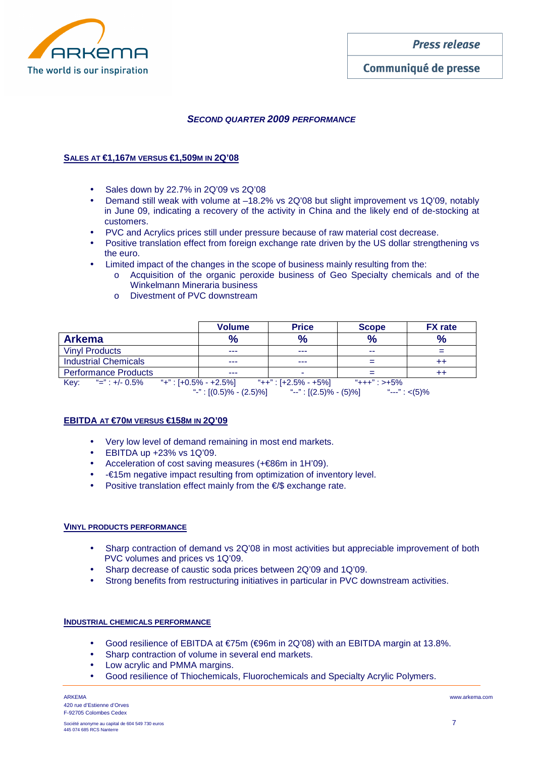

# Communiqué de presse

# **SECOND QUARTER 2009 PERFORMANCE**

### **SALES AT €1,167M VERSUS €1,509M IN 2Q'08**

- Sales down by 22.7% in 2Q'09 vs 2Q'08
- Demand still weak with volume at –18.2% vs 2Q'08 but slight improvement vs 1Q'09, notably in June 09, indicating a recovery of the activity in China and the likely end of de-stocking at customers.
- PVC and Acrylics prices still under pressure because of raw material cost decrease.
- Positive translation effect from foreign exchange rate driven by the US dollar strengthening vs the euro.
- Limited impact of the changes in the scope of business mainly resulting from the:
	- o Acquisition of the organic peroxide business of Geo Specialty chemicals and of the Winkelmann Mineraria business
	- o Divestment of PVC downstream

|                                             | <b>Volume</b> | <b>Price</b>         | <b>Scope</b> | <b>FX</b> rate |
|---------------------------------------------|---------------|----------------------|--------------|----------------|
| <b>Arkema</b>                               | $\frac{9}{6}$ | $\frac{9}{6}$        | $\%$         | $\frac{0}{0}$  |
| <b>Vinyl Products</b>                       | ---           | ---                  | --           | $=$            |
| <b>Industrial Chemicals</b>                 | ---           | ---                  |              | $^{++}$        |
| <b>Performance Products</b>                 | ---           | -                    |              | $^{++}$        |
| Key: "=": +/- 0.5% "+": $[+0.5\% - +2.5\%]$ |               | "++" : [+2.5% - +5%] | "+++" : >+5% |                |

"-" :  $[(0.5)\% - (2.5)\%]$   $\qquad$  "--" :  $[(2.5)\% - (5)\%]$   $\qquad$  "---" : <(5)%

# **EBITDA AT €70M VERSUS €158M IN 2Q'09**

- Very low level of demand remaining in most end markets.
- EBITDA up +23% vs 1Q'09.
- Acceleration of cost saving measures (+€86m in 1H'09).
- -€15m negative impact resulting from optimization of inventory level.
- Positive translation effect mainly from the €/\$ exchange rate.

#### **VINYL PRODUCTS PERFORMANCE**

- Sharp contraction of demand vs 2Q'08 in most activities but appreciable improvement of both PVC volumes and prices vs 1Q'09.
- Sharp decrease of caustic soda prices between 2Q'09 and 1Q'09.
- Strong benefits from restructuring initiatives in particular in PVC downstream activities.

#### **INDUSTRIAL CHEMICALS PERFORMANCE**

- Good resilience of EBITDA at €75m (€96m in 2Q'08) with an EBITDA margin at 13.8%.
- Sharp contraction of volume in several end markets.
- Low acrylic and PMMA margins.
- Good resilience of Thiochemicals, Fluorochemicals and Specialty Acrylic Polymers.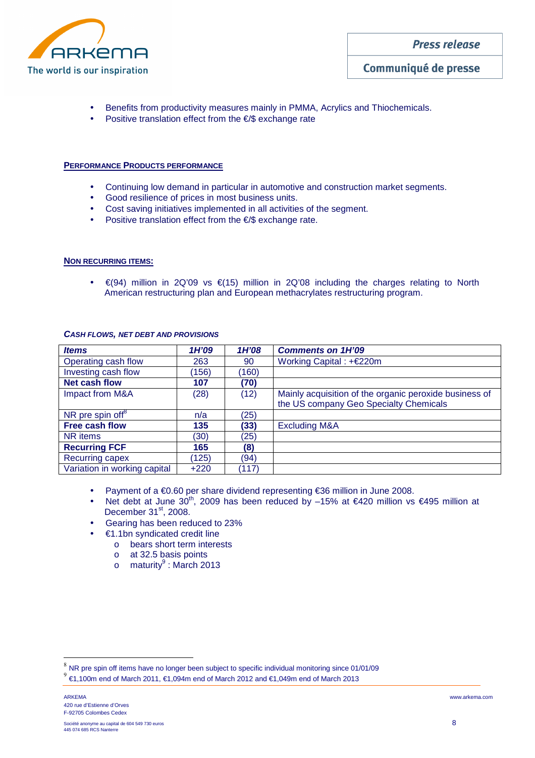

- Benefits from productivity measures mainly in PMMA, Acrylics and Thiochemicals.
- Positive translation effect from the  $\epsilon$ /\$ exchange rate

#### **PERFORMANCE PRODUCTS PERFORMANCE**

- Continuing low demand in particular in automotive and construction market segments.
- Good resilience of prices in most business units.
- Cost saving initiatives implemented in all activities of the segment.
- Positive translation effect from the €/\$ exchange rate.

#### **NON RECURRING ITEMS:**

• €(94) million in 2Q'09 vs €(15) million in 2Q'08 including the charges relating to North American restructuring plan and European methacrylates restructuring program.

| <b>Items</b>                 | 1H'09  | 1H'08 | <b>Comments on 1H'09</b>                                                                         |
|------------------------------|--------|-------|--------------------------------------------------------------------------------------------------|
| Operating cash flow          | 263    | 90    | Working Capital: $+$ €220m                                                                       |
| Investing cash flow          | (156)  | (160) |                                                                                                  |
| <b>Net cash flow</b>         | 107    | (70)  |                                                                                                  |
| Impact from M&A              | (28)   | (12)  | Mainly acquisition of the organic peroxide business of<br>the US company Geo Specialty Chemicals |
| NR pre spin off <sup>8</sup> | n/a    | (25)  |                                                                                                  |
| <b>Free cash flow</b>        | 135    | (33)  | <b>Excluding M&amp;A</b>                                                                         |
| NR items                     | (30)   | (25)  |                                                                                                  |
| <b>Recurring FCF</b>         | 165    | (8)   |                                                                                                  |
| Recurring capex              | (125)  | (94)  |                                                                                                  |
| Variation in working capital | $+220$ | (117) |                                                                                                  |

#### **CASH FLOWS, NET DEBT AND PROVISIONS**

- Payment of a €0.60 per share dividend representing €36 million in June 2008.
- Net debt at June 30<sup>th</sup>, 2009 has been reduced by –15% at €420 million vs €495 million at December  $31<sup>st</sup>$ , 2008.
- Gearing has been reduced to 23%
	- $€1.1$ bn syndicated credit line
		- o bears short term interests
		- o at 32.5 basis points
		- o maturity<sup>9</sup> : March 2013

 $^8$  NR pre spin off items have no longer been subject to specific individual monitoring since 01/01/09

<sup>9</sup> €1,100m end of March 2011, €1,094m end of March 2012 and €1,049m end of March 2013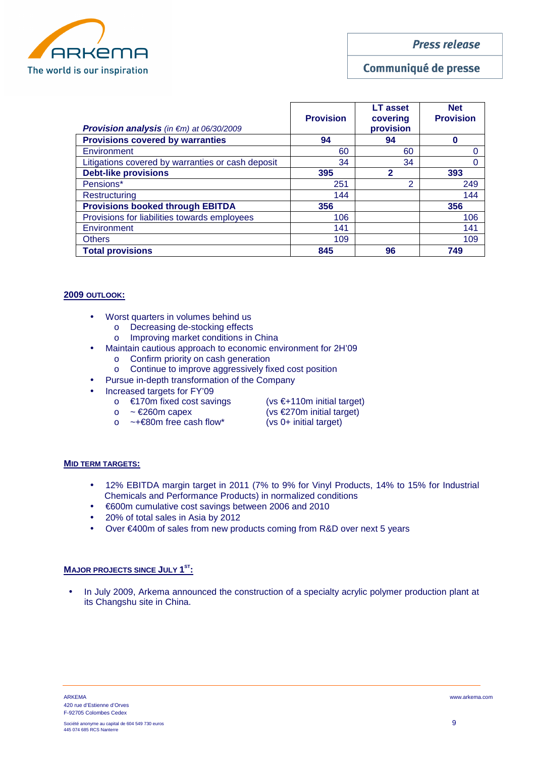

Communiqué de presse

| <b>Provision analysis</b> (in $\epsilon$ m) at 06/30/2009 | <b>Provision</b> | <b>LT</b> asset<br>covering<br>provision | <b>Net</b><br><b>Provision</b> |
|-----------------------------------------------------------|------------------|------------------------------------------|--------------------------------|
| <b>Provisions covered by warranties</b>                   | 94               | 94                                       |                                |
| Environment                                               | 60               | 60                                       |                                |
| Litigations covered by warranties or cash deposit         | 34               | 34                                       |                                |
| <b>Debt-like provisions</b>                               | 395              | 2                                        | 393                            |
| Pensions*                                                 | 251              | ◠                                        | 249                            |
| Restructuring                                             | 144              |                                          | 144                            |
| <b>Provisions booked through EBITDA</b>                   | 356              |                                          | 356                            |
| Provisions for liabilities towards employees              | 106              |                                          | 106                            |
| Environment                                               | 141              |                                          | 141                            |
| <b>Others</b>                                             | 109              |                                          | 109                            |
| <b>Total provisions</b>                                   | 845              | 96                                       | 749                            |

#### **2009 OUTLOOK:**

- Worst quarters in volumes behind us
	- o Decreasing de-stocking effects
	- o Improving market conditions in China
- Maintain cautious approach to economic environment for 2H'09
	- o Confirm priority on cash generation
	- o Continue to improve aggressively fixed cost position
- Pursue in-depth transformation of the Company
- Increased targets for FY'09
	- o €170m fixed cost savings (vs €+110m initial target)
	- $\circ$  ~ €260m capex (vs €270m initial target)
	- o ~+€80m free cash flow\* (vs 0+ initial target)
- 
- -

#### **MID TERM TARGETS:**

- 12% EBITDA margin target in 2011 (7% to 9% for Vinyl Products, 14% to 15% for Industrial Chemicals and Performance Products) in normalized conditions
- €600m cumulative cost savings between 2006 and 2010
- 20% of total sales in Asia by 2012
- Over €400m of sales from new products coming from R&D over next 5 years

#### **MAJOR PROJECTS SINCE JULY 1 ST:**

• In July 2009, Arkema announced the construction of a specialty acrylic polymer production plant at its Changshu site in China.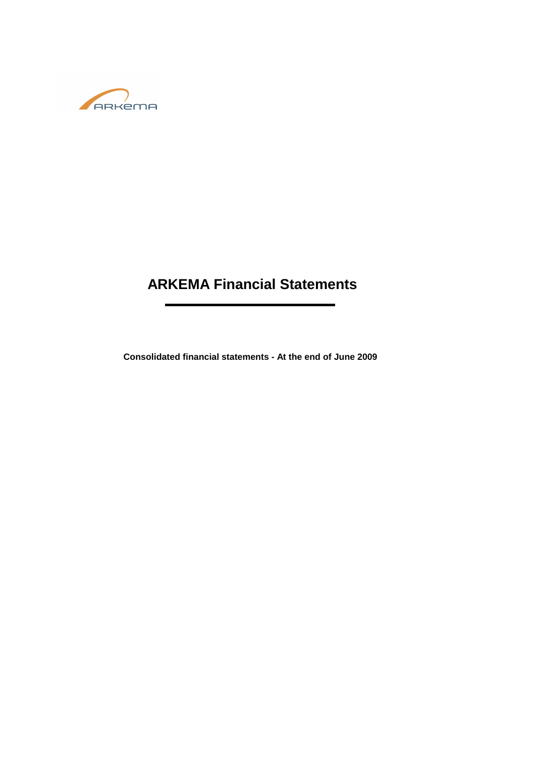

# **ARKEMA Financial Statements**

**Consolidated financial statements - At the end of June 2009**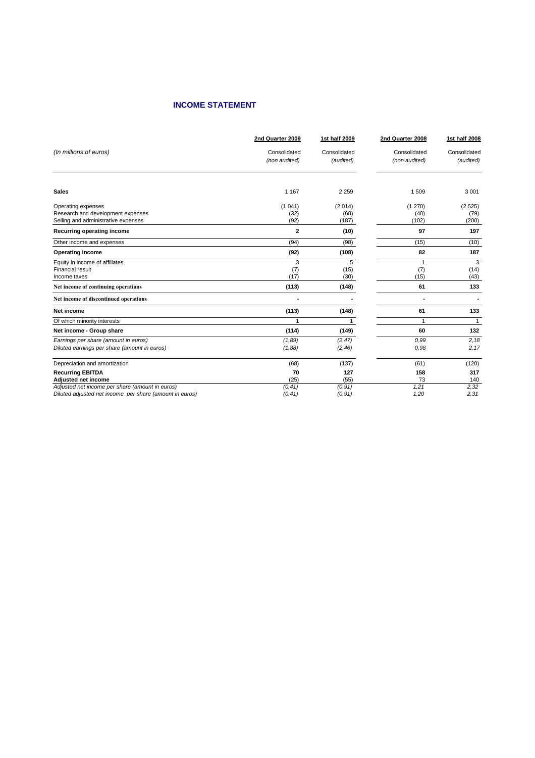# **INCOME STATEMENT**

|                                                                                      | 2nd Quarter 2009  | 1st half 2009      | 2nd Quarter 2008 | 1st half 2008     |
|--------------------------------------------------------------------------------------|-------------------|--------------------|------------------|-------------------|
| (In millions of euros)                                                               | Consolidated      | Consolidated       | Consolidated     | Consolidated      |
|                                                                                      | (non audited)     | (audited)          | (non audited)    | (audited)         |
| <b>Sales</b>                                                                         | 1 1 6 7           | 2 2 5 9            | 1509             | 3 0 0 1           |
| Operating expenses<br>Research and development expenses                              | (1041)<br>(32)    | (2014)<br>(68)     | (1270)<br>(40)   | (2525)<br>(79)    |
| Selling and administrative expenses                                                  | (92)              | (187)              | (102)            | (200)             |
| Recurring operating income                                                           | $\mathbf{2}$      | (10)               | 97               | 197               |
| Other income and expenses                                                            | (94)              | (98)               | (15)             | (10)              |
| <b>Operating income</b>                                                              | (92)              | (108)              | 82               | 187               |
| Equity in income of affiliates<br><b>Financial result</b><br>Income taxes            | 3<br>(7)<br>(17)  | 5<br>(15)<br>(30)  | 1<br>(7)<br>(15) | 3<br>(14)<br>(43) |
| Net income of continuing operations                                                  | (113)             | (148)              | 61               | 133               |
| Net income of discontinued operations                                                |                   |                    | ٠                |                   |
| Net income                                                                           | (113)             | (148)              | 61               | 133               |
| Of which minority interests                                                          | 1                 |                    | $\mathbf{1}$     | $\mathbf{1}$      |
| Net income - Group share                                                             | (114)             | (149)              | 60               | 132               |
| Earnings per share (amount in euros)<br>Diluted earnings per share (amount in euros) | (1, 89)<br>(1,88) | (2, 47)<br>(2, 46) | 0,99<br>0.98     | 2,18<br>2,17      |
| Depreciation and amortization                                                        | (68)              | (137)              | (61)             | (120)             |
| <b>Recurring EBITDA</b>                                                              | 70<br>(25)        | 127                | 158              | 317               |
| Adjusted net income<br>Adjusted net income per share (amount in euros)               | (0, 41)           | (55)<br>(0, 91)    | 73<br>1,21       | 140<br>2,32       |
| Diluted adjusted net income per share (amount in euros)                              | (0, 41)           | (0, 91)            | 1,20             | 2,31              |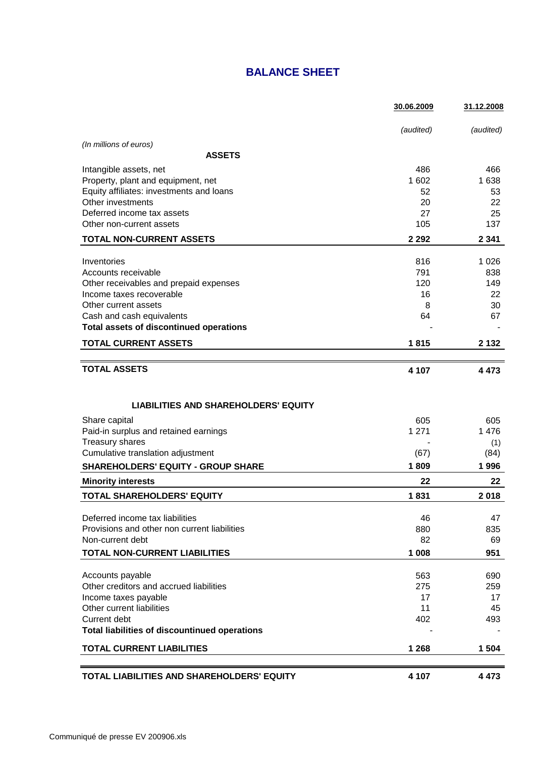# **BALANCE SHEET**

|                                                                                 | 30.06.2009 | 31.12.2008 |
|---------------------------------------------------------------------------------|------------|------------|
|                                                                                 | (audited)  | (audited)  |
| (In millions of euros)                                                          |            |            |
| <b>ASSETS</b>                                                                   |            |            |
| Intangible assets, net                                                          | 486        | 466        |
| Property, plant and equipment, net                                              | 1 602      | 1 638      |
| Equity affiliates: investments and loans                                        | 52         | 53         |
| Other investments                                                               | 20         | 22         |
| Deferred income tax assets<br>Other non-current assets                          | 27<br>105  | 25<br>137  |
|                                                                                 |            |            |
| <b>TOTAL NON-CURRENT ASSETS</b>                                                 | 2 2 9 2    | 2 3 4 1    |
| Inventories                                                                     | 816        | 1 0 2 6    |
| Accounts receivable                                                             | 791        | 838        |
| Other receivables and prepaid expenses                                          | 120        | 149        |
| Income taxes recoverable                                                        | 16         | 22         |
| Other current assets                                                            | 8          | 30         |
| Cash and cash equivalents                                                       | 64         | 67         |
| Total assets of discontinued operations                                         |            |            |
| <b>TOTAL CURRENT ASSETS</b>                                                     | 1815       | 2 1 3 2    |
|                                                                                 |            |            |
| <b>TOTAL ASSETS</b>                                                             | 4 107      | 4 4 7 3    |
|                                                                                 |            |            |
| <b>LIABILITIES AND SHAREHOLDERS' EQUITY</b>                                     |            |            |
| Share capital                                                                   | 605        | 605        |
| Paid-in surplus and retained earnings                                           | 1 2 7 1    | 1 4 7 6    |
| Treasury shares                                                                 |            | (1)        |
| Cumulative translation adjustment                                               | (67)       | (84)       |
| <b>SHAREHOLDERS' EQUITY - GROUP SHARE</b>                                       | 1809       | 1996       |
| <b>Minority interests</b>                                                       | 22         | 22         |
| <b>TOTAL SHAREHOLDERS' EQUITY</b>                                               | 1831       | 2018       |
|                                                                                 |            |            |
| Deferred income tax liabilities<br>Provisions and other non current liabilities | 46<br>880  | 47<br>835  |
| Non-current debt                                                                | 82         | 69         |
| <b>TOTAL NON-CURRENT LIABILITIES</b>                                            | 1 008      | 951        |
|                                                                                 |            |            |
| Accounts payable                                                                | 563        | 690        |
| Other creditors and accrued liabilities                                         | 275        | 259        |
| Income taxes payable                                                            | 17         | 17         |
| Other current liabilities                                                       | 11         | 45         |
| Current debt<br>Total liabilities of discountinued operations                   | 402        | 493        |
|                                                                                 |            |            |
| <b>TOTAL CURRENT LIABILITIES</b>                                                | 1 2 6 8    | 1 504      |
|                                                                                 |            |            |
| TOTAL LIABILITIES AND SHAREHOLDERS' EQUITY                                      | 4 107      | 4 4 7 3    |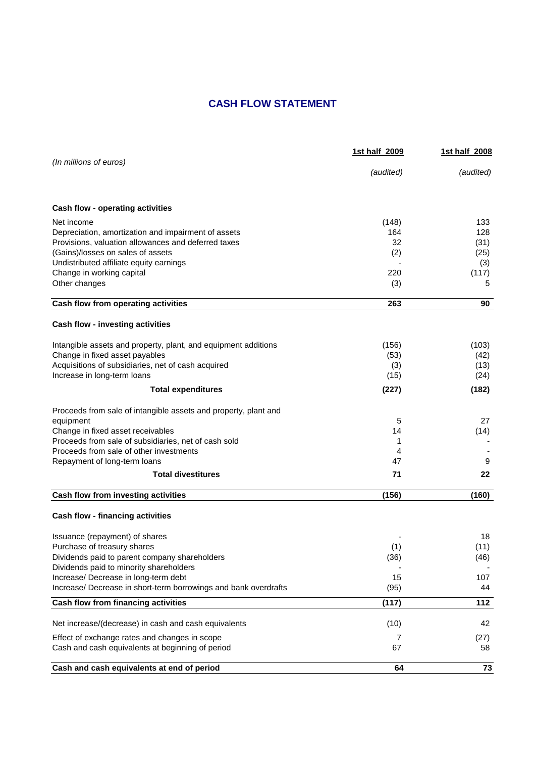# **CASH FLOW STATEMENT**

|                                                                 | 1st half 2009 | 1st half 2008 |  |
|-----------------------------------------------------------------|---------------|---------------|--|
| (In millions of euros)                                          | (audited)     | (audited)     |  |
| <b>Cash flow - operating activities</b>                         |               |               |  |
| Net income                                                      | (148)         | 133           |  |
| Depreciation, amortization and impairment of assets             | 164           | 128           |  |
| Provisions, valuation allowances and deferred taxes             | 32            | (31)          |  |
| (Gains)/losses on sales of assets                               | (2)           | (25)          |  |
| Undistributed affiliate equity earnings                         |               | (3)           |  |
| Change in working capital                                       | 220           | (117)         |  |
| Other changes                                                   | (3)           | 5             |  |
| Cash flow from operating activities                             | 263           | 90            |  |
| <b>Cash flow - investing activities</b>                         |               |               |  |
| Intangible assets and property, plant, and equipment additions  | (156)         | (103)         |  |
| Change in fixed asset payables                                  | (53)          | (42)          |  |
| Acquisitions of subsidiaries, net of cash acquired              | (3)           | (13)          |  |
| Increase in long-term loans                                     | (15)          | (24)          |  |
| <b>Total expenditures</b>                                       | (227)         | (182)         |  |
| Proceeds from sale of intangible assets and property, plant and |               |               |  |
| equipment                                                       | 5             | 27            |  |
| Change in fixed asset receivables                               | 14            | (14)          |  |
| Proceeds from sale of subsidiaries, net of cash sold            | 1             |               |  |
| Proceeds from sale of other investments                         | 4             |               |  |
| Repayment of long-term loans                                    | 47            | 9             |  |
| <b>Total divestitures</b>                                       | 71            | 22            |  |
| Cash flow from investing activities                             | (156)         | (160)         |  |
|                                                                 |               |               |  |
| <b>Cash flow - financing activities</b>                         |               |               |  |
| Issuance (repayment) of shares                                  |               | 18            |  |
| Purchase of treasury shares                                     | (1)           | (11)          |  |
| Dividends paid to parent company shareholders                   | (36)          | (46)          |  |
| Dividends paid to minority shareholders                         |               |               |  |
| Increase/ Decrease in long-term debt                            | 15            | 107           |  |
| Increase/ Decrease in short-term borrowings and bank overdrafts | (95)          | 44            |  |
| Cash flow from financing activities                             | (117)         | 112           |  |
| Net increase/(decrease) in cash and cash equivalents            | (10)          | 42            |  |
| Effect of exchange rates and changes in scope                   | 7             | (27)          |  |
| Cash and cash equivalents at beginning of period                | 67            | 58            |  |
| Cash and cash equivalents at end of period                      | 64            | 73            |  |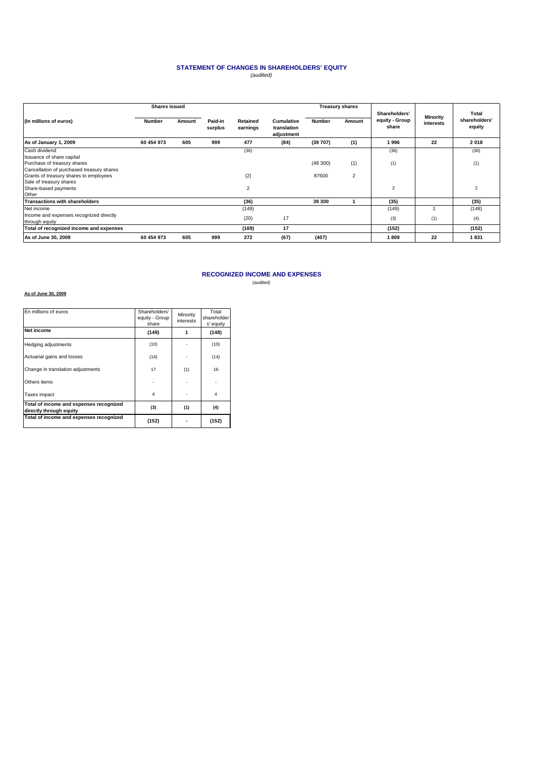#### **STATEMENT OF CHANGES IN SHAREHOLDERS' EQUITY** (audited)

|                                                                                     | <b>Shares issued</b> |        |                    |                      | <b>Treasury shares</b>                         |               |        |                                          |                       |                                  |
|-------------------------------------------------------------------------------------|----------------------|--------|--------------------|----------------------|------------------------------------------------|---------------|--------|------------------------------------------|-----------------------|----------------------------------|
| (In millions of euros)                                                              | <b>Number</b>        | Amount | Paid-in<br>surplus | Retained<br>earnings | <b>Cumulative</b><br>translation<br>adjustment | <b>Number</b> | Amount | Shareholders'<br>equity - Group<br>share | Minority<br>interests | Total<br>shareholders'<br>equity |
| As of January 1, 2009                                                               | 60 454 973           | 605    | 999                | 477                  | (84)                                           | (39707)       | (1)    | 1996                                     | 22                    | 2018                             |
| Cash dividend                                                                       |                      |        |                    | (36)                 |                                                |               |        | (36)                                     |                       | (36)                             |
| Issuance of share capital<br>Purchase of treasury shares                            |                      |        |                    |                      |                                                | (48300)       | (1)    | (1)                                      |                       | (1)                              |
| Cancellation of purchased treasury shares<br>Grants of treasury shares to employees |                      |        |                    | (2)                  |                                                | 87600         | 2      |                                          |                       |                                  |
| Sale of treasury shares<br>Share-based payments<br>Other                            |                      |        |                    | 2                    |                                                |               |        | $\overline{2}$                           |                       | 2                                |
| Transactions with shareholders                                                      |                      |        |                    | (36)                 |                                                | 39 300        |        | (35)                                     |                       | (35)                             |
| Net income                                                                          |                      |        |                    | (149)                |                                                |               |        | (149)                                    |                       | (148)                            |
| Income and expenses recognized directly<br>through equity                           |                      |        |                    | (20)                 | 17                                             |               |        | (3)                                      | (1)                   | (4)                              |
| Total of recognized income and expenses                                             |                      |        |                    | (169)                | 17                                             |               |        | (152)                                    |                       | (152)                            |
| As of June 30, 2009                                                                 | 60 454 973           | 605    | 999                | 272                  | (67)                                           | (407)         |        | 1809                                     | 22                    | 1831                             |

#### **RECOGNIZED INCOME AND EXPENSES** (audited)

#### **As of June 30, 2009**

| En millions of euros                                               | Shareholders'<br>equity - Group<br>share | Minority<br>interests | Total<br>shareholder<br>s' equity |  |
|--------------------------------------------------------------------|------------------------------------------|-----------------------|-----------------------------------|--|
| Net income                                                         | (149)                                    |                       | (148)                             |  |
| Hedging adjustments                                                | (10)                                     |                       | (10)                              |  |
| Actuarial gains and losses                                         | (14)                                     |                       | (14)                              |  |
| Change in translation adjustments                                  | 17                                       | (1)                   | 16                                |  |
| Others items                                                       |                                          |                       |                                   |  |
| Taxes impact                                                       | 4                                        |                       | $\overline{4}$                    |  |
| Total of income and expenses recognized<br>directly through equity | (3)                                      | (1)                   | (4)                               |  |
| Total of income and expenses recognized                            | (152)                                    |                       | (152)                             |  |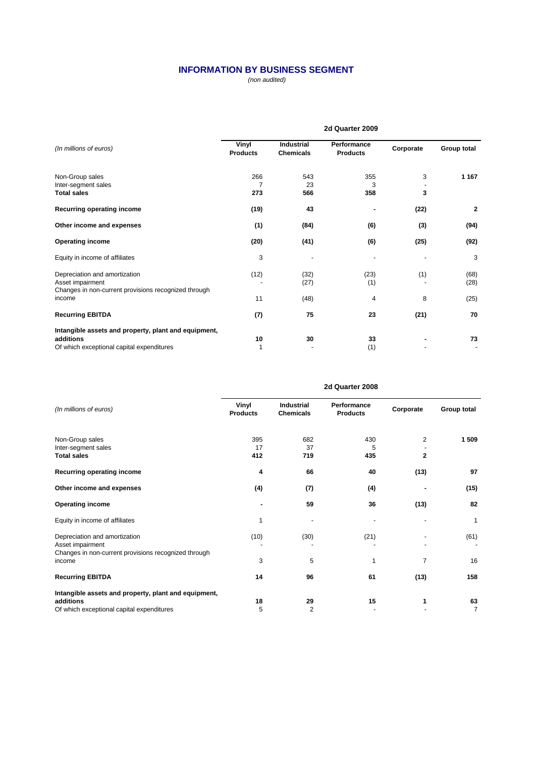# **INFORMATION BY BUSINESS SEGMENT**

(non audited)

|                                                                                                                | 2d Quarter 2009          |                                       |                                |           |              |
|----------------------------------------------------------------------------------------------------------------|--------------------------|---------------------------------------|--------------------------------|-----------|--------------|
| (In millions of euros)                                                                                         | Vinyl<br><b>Products</b> | <b>Industrial</b><br><b>Chemicals</b> | Performance<br><b>Products</b> | Corporate | Group total  |
| Non-Group sales<br>Inter-segment sales<br><b>Total sales</b>                                                   | 266<br>273               | 543<br>23<br>566                      | 355<br>3<br>358                | 3<br>3    | 1 1 6 7      |
| Recurring operating income                                                                                     | (19)                     | 43                                    |                                | (22)      | 2            |
| Other income and expenses                                                                                      | (1)                      | (84)                                  | (6)                            | (3)       | (94)         |
| <b>Operating income</b>                                                                                        | (20)                     | (41)                                  | (6)                            | (25)      | (92)         |
| Equity in income of affiliates                                                                                 | 3                        |                                       |                                |           | 3            |
| Depreciation and amortization<br>Asset impairment<br>Changes in non-current provisions recognized through      | (12)                     | (32)<br>(27)                          | (23)<br>(1)                    | (1)       | (68)<br>(28) |
| income                                                                                                         | 11                       | (48)                                  | 4                              | 8         | (25)         |
| <b>Recurring EBITDA</b>                                                                                        | (7)                      | 75                                    | 23                             | (21)      | 70           |
| Intangible assets and property, plant and equipment,<br>additions<br>Of which exceptional capital expenditures | 10                       | 30                                    | 33<br>(1)                      |           | 73           |

|                                                                                                           |                          | zu wuarter zuud                |                                |                |             |  |
|-----------------------------------------------------------------------------------------------------------|--------------------------|--------------------------------|--------------------------------|----------------|-------------|--|
| (In millions of euros)                                                                                    | Vinyl<br><b>Products</b> | Industrial<br><b>Chemicals</b> | Performance<br><b>Products</b> | Corporate      | Group total |  |
| Non-Group sales                                                                                           | 395<br>17                | 682<br>37                      | 430                            | $\overline{2}$ | 1 509       |  |
| Inter-segment sales<br><b>Total sales</b>                                                                 | 412                      | 719                            | 5<br>435                       | $\mathbf{2}$   |             |  |
| Recurring operating income                                                                                | 4                        | 66                             | 40                             | (13)           | 97          |  |
| Other income and expenses                                                                                 | (4)                      | (7)                            | (4)                            |                | (15)        |  |
| <b>Operating income</b>                                                                                   | $\blacksquare$           | 59                             | 36                             | (13)           | 82          |  |
| Equity in income of affiliates                                                                            | 1                        |                                |                                |                | 1           |  |
| Depreciation and amortization<br>Asset impairment<br>Changes in non-current provisions recognized through | (10)                     | (30)                           | (21)                           |                | (61)        |  |
| income                                                                                                    | 3                        | 5                              | 1                              | 7              | 16          |  |
| <b>Recurring EBITDA</b>                                                                                   | 14                       | 96                             | 61                             | (13)           | 158         |  |
| Intangible assets and property, plant and equipment,                                                      |                          |                                |                                |                |             |  |
| additions<br>Of which exceptional capital expenditures                                                    | 18<br>5                  | 29<br>$\overline{2}$           | 15                             |                | 63<br>7     |  |
|                                                                                                           |                          |                                |                                |                |             |  |

#### **2d Quarter 2008**